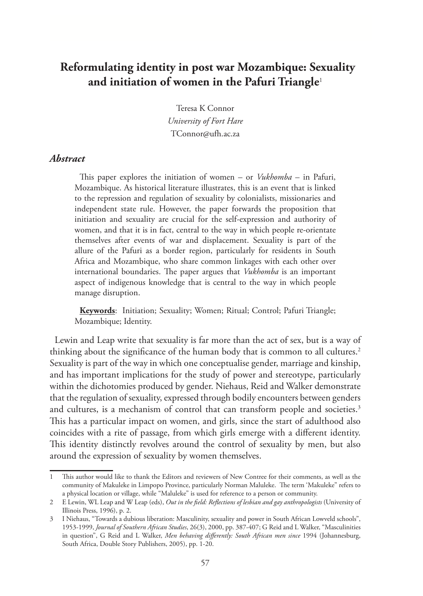# **Reformulating identity in post war Mozambique: Sexuality and initiation of women in the Pafuri Triangle**<sup>1</sup>

Teresa K Connor *University of Fort Hare*

TConnor@ufh.ac.za

#### *Abstract*

This paper explores the initiation of women – or *Vukhomba* – in Pafuri, Mozambique. As historical literature illustrates, this is an event that is linked to the repression and regulation of sexuality by colonialists, missionaries and independent state rule. However, the paper forwards the proposition that initiation and sexuality are crucial for the self-expression and authority of women, and that it is in fact, central to the way in which people re-orientate themselves after events of war and displacement. Sexuality is part of the allure of the Pafuri as a border region, particularly for residents in South Africa and Mozambique, who share common linkages with each other over international boundaries. The paper argues that *Vukhomba* is an important aspect of indigenous knowledge that is central to the way in which people manage disruption.

**Keywords**: Initiation; Sexuality; Women; Ritual; Control; Pafuri Triangle; Mozambique; Identity.

Lewin and Leap write that sexuality is far more than the act of sex, but is a way of thinking about the significance of the human body that is common to all cultures.<sup>2</sup> Sexuality is part of the way in which one conceptualise gender, marriage and kinship, and has important implications for the study of power and stereotype, particularly within the dichotomies produced by gender. Niehaus, Reid and Walker demonstrate that the regulation of sexuality, expressed through bodily encounters between genders and cultures, is a mechanism of control that can transform people and societies.<sup>3</sup> This has a particular impact on women, and girls, since the start of adulthood also coincides with a rite of passage, from which girls emerge with a different identity. This identity distinctly revolves around the control of sexuality by men, but also around the expression of sexuality by women themselves.

<sup>1</sup> This author would like to thank the Editors and reviewers of New Contree for their comments, as well as the community of Makuleke in Limpopo Province, particularly Norman Maluleke. The term 'Makuleke" refers to a physical location or village, while "Maluleke" is used for reference to a person or community.

<sup>2</sup> E Lewin, WL Leap and W Leap (eds), *Out in the field: Reflections of lesbian and gay anthropologists* (University of Illinois Press, 1996), p. 2.

<sup>3</sup> I Niehaus, "Towards a dubious liberation: Masculinity, sexuality and power in South African Lowveld schools", 1953-1999, *Journal of Southern African Studies*, 26(3), 2000, pp. 387-407; G Reid and L Walker, "Masculinities in question", G Reid and L Walker, *Men behaving differently: South African men since* 1994 (Johannesburg, South Africa, Double Story Publishers, 2005), pp. 1-20.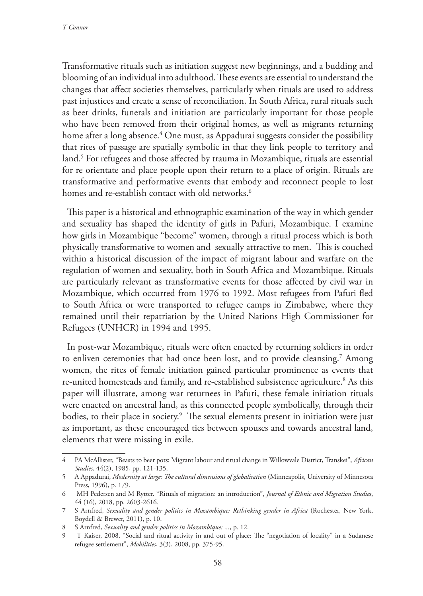Transformative rituals such as initiation suggest new beginnings, and a budding and blooming of an individual into adulthood. These events are essential to understand the changes that affect societies themselves, particularly when rituals are used to address past injustices and create a sense of reconciliation. In South Africa, rural rituals such as beer drinks, funerals and initiation are particularly important for those people who have been removed from their original homes, as well as migrants returning home after a long absence.4 One must, as Appadurai suggests consider the possibility that rites of passage are spatially symbolic in that they link people to territory and land.5 For refugees and those affected by trauma in Mozambique, rituals are essential for re orientate and place people upon their return to a place of origin. Rituals are transformative and performative events that embody and reconnect people to lost homes and re-establish contact with old networks.<sup>6</sup>

This paper is a historical and ethnographic examination of the way in which gender and sexuality has shaped the identity of girls in Pafuri, Mozambique. I examine how girls in Mozambique "become" women, through a ritual process which is both physically transformative to women and sexually attractive to men. This is couched within a historical discussion of the impact of migrant labour and warfare on the regulation of women and sexuality, both in South Africa and Mozambique. Rituals are particularly relevant as transformative events for those affected by civil war in Mozambique, which occurred from 1976 to 1992. Most refugees from Pafuri fled to South Africa or were transported to refugee camps in Zimbabwe, where they remained until their repatriation by the United Nations High Commissioner for Refugees (UNHCR) in 1994 and 1995.

In post-war Mozambique, rituals were often enacted by returning soldiers in order to enliven ceremonies that had once been lost, and to provide cleansing.7 Among women, the rites of female initiation gained particular prominence as events that re-united homesteads and family, and re-established subsistence agriculture.<sup>8</sup> As this paper will illustrate, among war returnees in Pafuri, these female initiation rituals were enacted on ancestral land, as this connected people symbolically, through their bodies, to their place in society.9 The sexual elements present in initiation were just as important, as these encouraged ties between spouses and towards ancestral land, elements that were missing in exile.

<sup>4</sup> PA McAllister, "Beasts to beer pots: Migrant labour and ritual change in Willowvale District, Transkei", *African Studies*, 44(2), 1985, pp. 121-135.

<sup>5</sup> A Appadurai, *Modernity at large: The cultural dimensions of globalisation* (Minneapolis, University of Minnesota Press, 1996), p. 179.

<sup>6</sup> MH Pedersen and M Rytter. "Rituals of migration: an introduction", *Journal of Ethnic and Migration Studies*, 44 (16), 2018, pp. 2603-2616.

<sup>7</sup> S Arnfred, *Sexuality and gender politics in Mozambique: Rethinking gender in Africa* (Rochester, New York, Boydell & Brewer, 2011), p. 10.

<sup>8</sup> S Arnfred, *Sexuality and gender politics in Mozambique: ...*, p. 12.

<sup>9</sup> T Kaiser, 2008. "Social and ritual activity in and out of place: The "negotiation of locality" in a Sudanese refugee settlement", *Mobilities*, 3(3), 2008, pp. 375-95.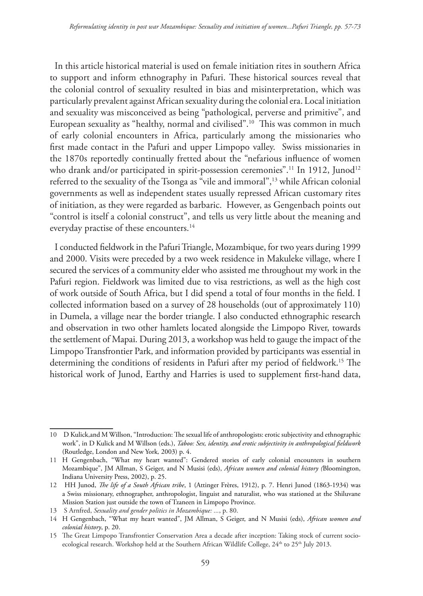In this article historical material is used on female initiation rites in southern Africa to support and inform ethnography in Pafuri. These historical sources reveal that the colonial control of sexuality resulted in bias and misinterpretation, which was particularly prevalent against African sexuality during the colonial era. Local initiation and sexuality was misconceived as being "pathological, perverse and primitive", and European sexuality as "healthy, normal and civilised".10 This was common in much of early colonial encounters in Africa, particularly among the missionaries who first made contact in the Pafuri and upper Limpopo valley. Swiss missionaries in the 1870s reportedly continually fretted about the "nefarious influence of women who drank and/or participated in spirit-possession ceremonies".<sup>11</sup> In 1912, Junod<sup>12</sup> referred to the sexuality of the Tsonga as "vile and immoral",13 while African colonial governments as well as independent states usually repressed African customary rites of initiation, as they were regarded as barbaric. However, as Gengenbach points out "control is itself a colonial construct", and tells us very little about the meaning and everyday practise of these encounters.<sup>14</sup>

I conducted fieldwork in the Pafuri Triangle, Mozambique, for two years during 1999 and 2000. Visits were preceded by a two week residence in Makuleke village, where I secured the services of a community elder who assisted me throughout my work in the Pafuri region. Fieldwork was limited due to visa restrictions, as well as the high cost of work outside of South Africa, but I did spend a total of four months in the field. I collected information based on a survey of 28 households (out of approximately 110) in Dumela, a village near the border triangle. I also conducted ethnographic research and observation in two other hamlets located alongside the Limpopo River, towards the settlement of Mapai. During 2013, a workshop was held to gauge the impact of the Limpopo Transfrontier Park, and information provided by participants was essential in determining the conditions of residents in Pafuri after my period of fieldwork.<sup>15</sup> The historical work of Junod, Earthy and Harries is used to supplement first-hand data,

<sup>10</sup> D Kulick,and M Willson, "Introduction: The sexual life of anthropologists: erotic subjectivity and ethnographic work", in D Kulick and M Willson (eds.), *Taboo: Sex, identity, and erotic subjectivity in anthropological fieldwork*  (Routledge, London and New York*,* 2003) p. 4.

<sup>11</sup> H Gengenbach, "What my heart wanted": Gendered stories of early colonial encounters in southern Mozambique", JM Allman, S Geiger, and N Musisi (eds), *African women and colonial history (*Bloomington, Indiana University Press, 2002), p. 25.

<sup>12</sup> HH Junod, *The life of a South African tribe*, 1 (Attinger Frères, 1912), p. 7. Henri Junod (1863-1934) was a Swiss missionary, ethnographer, anthropologist, linguist and naturalist, who was stationed at the Shiluvane Mission Station just outside the town of Tzaneen in Limpopo Province.

<sup>13</sup> S Arnfred, *Sexuality and gender politics in Mozambique: ...*, p. 80.

<sup>14</sup> H Gengenbach, "What my heart wanted", JM Allman, S Geiger, and N Musisi (eds), *African women and colonial history*, p. 20.

<sup>15</sup> The Great Limpopo Transfrontier Conservation Area a decade after inception: Taking stock of current socioecological research. Workshop held at the Southern African Wildlife College, 24<sup>th</sup> to 25<sup>th</sup> July 2013.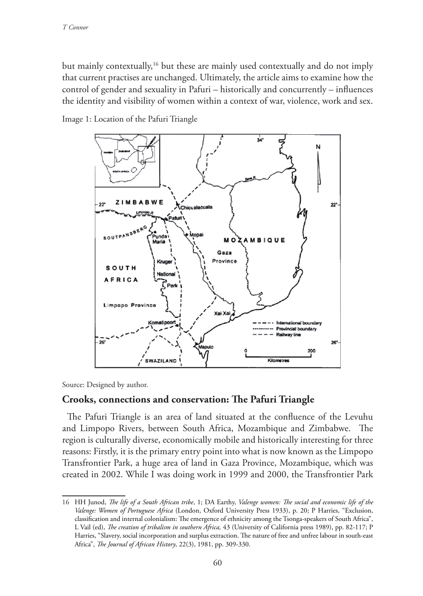but mainly contextually,16 but these are mainly used contextually and do not imply that current practises are unchanged. Ultimately, the article aims to examine how the control of gender and sexuality in Pafuri – historically and concurrently – influences the identity and visibility of women within a context of war, violence, work and sex.

Image 1: Location of the Pafuri Triangle



Source: Designed by author.

## **Crooks, connections and conservation: The Pafuri Triangle**

The Pafuri Triangle is an area of land situated at the confluence of the Levuhu and Limpopo Rivers, between South Africa, Mozambique and Zimbabwe. The region is culturally diverse, economically mobile and historically interesting for three reasons: Firstly, it is the primary entry point into what is now known as the Limpopo Transfrontier Park, a huge area of land in Gaza Province, Mozambique, which was created in 2002. While I was doing work in 1999 and 2000, the Transfrontier Park

<sup>16</sup> HH Junod, *The life of a South African tribe*, 1; DA Earthy, *Valenge women: The social and economic life of the Valenge: Women of Portuguese Africa* (London, Oxford University Press 1933), p. 20; P Harries, "Exclusion, classification and internal colonialism: The emergence of ethnicity among the Tsonga-speakers of South Africa", L Vail (ed), *The creation of tribalism in southern Africa,* 43 (University of California press 1989), pp. 82-117; P Harries, "Slavery, social incorporation and surplus extraction. The nature of free and unfree labour in south-east Africa", *The Journal of African History*, 22(3), 1981, pp. 309-330.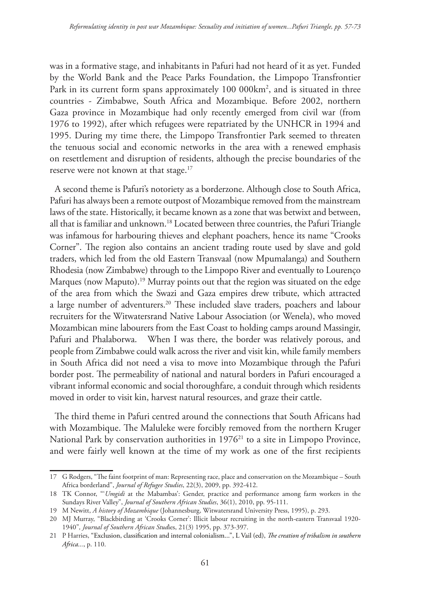was in a formative stage, and inhabitants in Pafuri had not heard of it as yet. Funded by the World Bank and the Peace Parks Foundation, the Limpopo Transfrontier Park in its current form spans approximately 100 000km2 , and is situated in three countries - Zimbabwe, South Africa and Mozambique. Before 2002, northern Gaza province in Mozambique had only recently emerged from civil war (from 1976 to 1992), after which refugees were repatriated by the UNHCR in 1994 and 1995. During my time there, the Limpopo Transfrontier Park seemed to threaten the tenuous social and economic networks in the area with a renewed emphasis on resettlement and disruption of residents, although the precise boundaries of the reserve were not known at that stage.<sup>17</sup>

A second theme is Pafuri's notoriety as a borderzone. Although close to South Africa, Pafuri has always been a remote outpost of Mozambique removed from the mainstream laws of the state. Historically, it became known as a zone that was betwixt and between, all that is familiar and unknown.18 Located between three countries, the Pafuri Triangle was infamous for harbouring thieves and elephant poachers, hence its name "Crooks Corner". The region also contains an ancient trading route used by slave and gold traders, which led from the old Eastern Transvaal (now Mpumalanga) and Southern Rhodesia (now Zimbabwe) through to the Limpopo River and eventually to Lourenço Marques (now Maputo).<sup>19</sup> Murray points out that the region was situated on the edge of the area from which the Swazi and Gaza empires drew tribute, which attracted a large number of adventurers.20 These included slave traders, poachers and labour recruiters for the Witwatersrand Native Labour Association (or Wenela), who moved Mozambican mine labourers from the East Coast to holding camps around Massingir, Pafuri and Phalaborwa. When I was there, the border was relatively porous, and people from Zimbabwe could walk across the river and visit kin, while family members in South Africa did not need a visa to move into Mozambique through the Pafuri border post. The permeability of national and natural borders in Pafuri encouraged a vibrant informal economic and social thoroughfare, a conduit through which residents moved in order to visit kin, harvest natural resources, and graze their cattle.

The third theme in Pafuri centred around the connections that South Africans had with Mozambique. The Maluleke were forcibly removed from the northern Kruger National Park by conservation authorities in 1976<sup>21</sup> to a site in Limpopo Province, and were fairly well known at the time of my work as one of the first recipients

<sup>17</sup> G Rodgers, "The faint footprint of man: Representing race, place and conservation on the Mozambique – South Africa borderland", *Journal of Refugee Studies*, 22(3), 2009, pp. 392-412.

<sup>18</sup> TK Connor, "'*Umgidi* at the Mabambas': Gender, practice and performance among farm workers in the Sundays River Valley", *Journal of Southern African Studies*, 36(1), 2010, pp. 95-111.

<sup>19</sup> M Newitt, *A history of Mozambique* (Johannesburg, Witwatersrand University Press, 1995), p. 293.

<sup>20</sup> MJ Murray, "Blackbirding at 'Crooks Corner': Illicit labour recruiting in the north-eastern Transvaal 1920- 1940"*, Journal of Southern African Stud*ies, 21(3) 1995, pp. 373-397.

<sup>21</sup> P Harries, "Exclusion, classification and internal colonialism...", L Vail (ed), *The creation of tribalism in southern Africa...*, p. 110.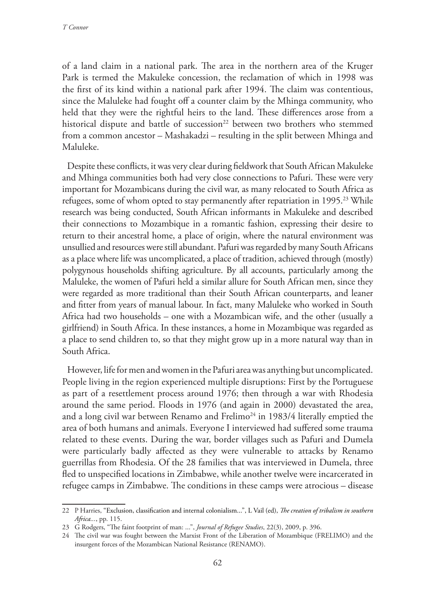of a land claim in a national park. The area in the northern area of the Kruger Park is termed the Makuleke concession, the reclamation of which in 1998 was the first of its kind within a national park after 1994. The claim was contentious, since the Maluleke had fought off a counter claim by the Mhinga community, who held that they were the rightful heirs to the land. These differences arose from a historical dispute and battle of succession<sup>22</sup> between two brothers who stemmed from a common ancestor – Mashakadzi – resulting in the split between Mhinga and Maluleke.

Despite these conflicts, it was very clear during fieldwork that South African Makuleke and Mhinga communities both had very close connections to Pafuri. These were very important for Mozambicans during the civil war, as many relocated to South Africa as refugees, some of whom opted to stay permanently after repatriation in 1995.23 While research was being conducted, South African informants in Makuleke and described their connections to Mozambique in a romantic fashion, expressing their desire to return to their ancestral home, a place of origin, where the natural environment was unsullied and resources were still abundant. Pafuri was regarded by many South Africans as a place where life was uncomplicated, a place of tradition, achieved through (mostly) polygynous households shifting agriculture. By all accounts, particularly among the Maluleke, the women of Pafuri held a similar allure for South African men, since they were regarded as more traditional than their South African counterparts, and leaner and fitter from years of manual labour. In fact, many Maluleke who worked in South Africa had two households – one with a Mozambican wife, and the other (usually a girlfriend) in South Africa. In these instances, a home in Mozambique was regarded as a place to send children to, so that they might grow up in a more natural way than in South Africa.

However, life for men and women in the Pafuri area was anything but uncomplicated. People living in the region experienced multiple disruptions: First by the Portuguese as part of a resettlement process around 1976; then through a war with Rhodesia around the same period. Floods in 1976 (and again in 2000) devastated the area, and a long civil war between Renamo and Frelimo<sup>24</sup> in 1983/4 literally emptied the area of both humans and animals. Everyone I interviewed had suffered some trauma related to these events. During the war, border villages such as Pafuri and Dumela were particularly badly affected as they were vulnerable to attacks by Renamo guerrillas from Rhodesia. Of the 28 families that was interviewed in Dumela, three fled to unspecified locations in Zimbabwe, while another twelve were incarcerated in refugee camps in Zimbabwe. The conditions in these camps were atrocious – disease

<sup>22</sup> P Harries, "Exclusion, classification and internal colonialism...", L Vail (ed), *The creation of tribalism in southern Africa...*, pp. 115.

<sup>23</sup> G Rodgers, "The faint footprint of man: ...", *Journal of Refugee Studies*, 22(3), 2009, p. 396.

<sup>24</sup> The civil war was fought between the Marxist Front of the Liberation of Mozambique (FRELIMO) and the insurgent forces of the Mozambican National Resistance (RENAMO).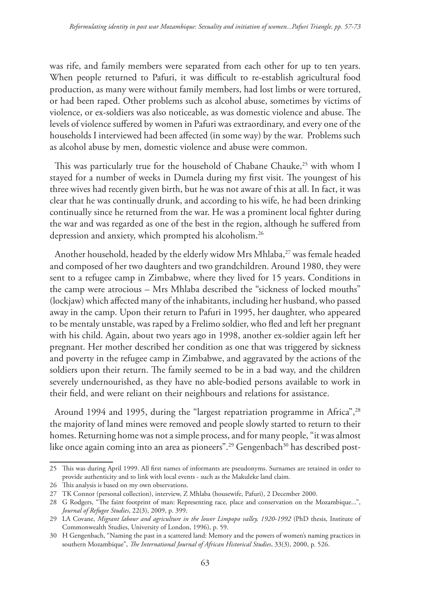was rife, and family members were separated from each other for up to ten years. When people returned to Pafuri, it was difficult to re-establish agricultural food production, as many were without family members, had lost limbs or were tortured, or had been raped. Other problems such as alcohol abuse, sometimes by victims of violence, or ex-soldiers was also noticeable, as was domestic violence and abuse. The levels of violence suffered by women in Pafuri was extraordinary, and every one of the households I interviewed had been affected (in some way) by the war. Problems such as alcohol abuse by men, domestic violence and abuse were common.

This was particularly true for the household of Chabane Chauke,<sup>25</sup> with whom I stayed for a number of weeks in Dumela during my first visit. The youngest of his three wives had recently given birth, but he was not aware of this at all. In fact, it was clear that he was continually drunk, and according to his wife, he had been drinking continually since he returned from the war. He was a prominent local fighter during the war and was regarded as one of the best in the region, although he suffered from depression and anxiety, which prompted his alcoholism.<sup>26</sup>

Another household, headed by the elderly widow Mrs Mhlaba,<sup>27</sup> was female headed and composed of her two daughters and two grandchildren. Around 1980, they were sent to a refugee camp in Zimbabwe, where they lived for 15 years. Conditions in the camp were atrocious – Mrs Mhlaba described the "sickness of locked mouths" (lockjaw) which affected many of the inhabitants, including her husband, who passed away in the camp. Upon their return to Pafuri in 1995, her daughter, who appeared to be mentaly unstable, was raped by a Frelimo soldier, who fled and left her pregnant with his child. Again, about two years ago in 1998, another ex-soldier again left her pregnant. Her mother described her condition as one that was triggered by sickness and poverty in the refugee camp in Zimbabwe, and aggravated by the actions of the soldiers upon their return. The family seemed to be in a bad way, and the children severely undernourished, as they have no able-bodied persons available to work in their field, and were reliant on their neighbours and relations for assistance.

Around 1994 and 1995, during the "largest repatriation programme in Africa", <sup>28</sup> the majority of land mines were removed and people slowly started to return to their homes. Returning home was not a simple process, and for many people, "it was almost like once again coming into an area as pioneers".<sup>29</sup> Gengenbach<sup>30</sup> has described post-

<sup>25</sup> This was during April 1999. All first names of informants are pseudonyms. Surnames are retained in order to provide authenticity and to link with local events - such as the Makuleke land claim.

<sup>26</sup> This analysis is based on my own observations.

<sup>27</sup> TK Connor (personal collection), interview, Z Mhlaba (housewife, Pafuri), 2 December 2000.

<sup>28</sup> G Rodgers, "The faint footprint of man: Representing race, place and conservation on the Mozambique...", *Journal of Refugee Studies*, 22(3), 2009, p. 399.

<sup>29</sup> LA Covane, *Migrant labour and agriculture in the lower Limpopo valley, 1920-1992* (PhD thesis, Institute of Commonwealth Studies, University of London, 1996), p. 59.

<sup>30</sup> H Gengenbach, "Naming the past in a scattered land: Memory and the powers of women's naming practices in southern Mozambique", *The International Journal of African Historical Studies*, 33(3), 2000, p. 526.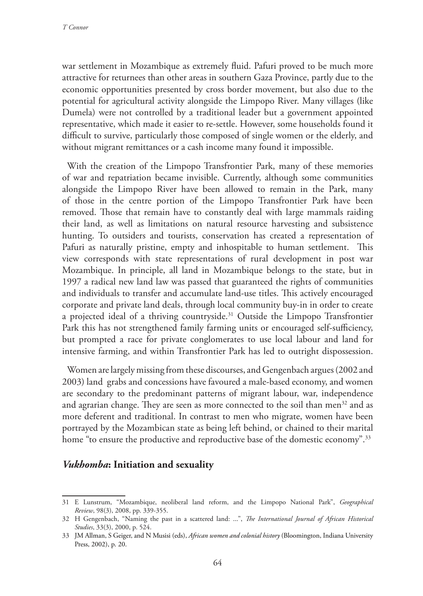war settlement in Mozambique as extremely fluid. Pafuri proved to be much more attractive for returnees than other areas in southern Gaza Province, partly due to the economic opportunities presented by cross border movement, but also due to the potential for agricultural activity alongside the Limpopo River. Many villages (like Dumela) were not controlled by a traditional leader but a government appointed representative, which made it easier to re-settle. However, some households found it difficult to survive, particularly those composed of single women or the elderly, and without migrant remittances or a cash income many found it impossible.

With the creation of the Limpopo Transfrontier Park, many of these memories of war and repatriation became invisible. Currently, although some communities alongside the Limpopo River have been allowed to remain in the Park, many of those in the centre portion of the Limpopo Transfrontier Park have been removed. Those that remain have to constantly deal with large mammals raiding their land, as well as limitations on natural resource harvesting and subsistence hunting. To outsiders and tourists, conservation has created a representation of Pafuri as naturally pristine, empty and inhospitable to human settlement. This view corresponds with state representations of rural development in post war Mozambique. In principle, all land in Mozambique belongs to the state, but in 1997 a radical new land law was passed that guaranteed the rights of communities and individuals to transfer and accumulate land-use titles. This actively encouraged corporate and private land deals, through local community buy-in in order to create a projected ideal of a thriving countryside.<sup>31</sup> Outside the Limpopo Transfrontier Park this has not strengthened family farming units or encouraged self-sufficiency, but prompted a race for private conglomerates to use local labour and land for intensive farming, and within Transfrontier Park has led to outright dispossession.

Women are largely missing from these discourses, and Gengenbach argues (2002 and 2003) land grabs and concessions have favoured a male-based economy, and women are secondary to the predominant patterns of migrant labour, war, independence and agrarian change. They are seen as more connected to the soil than men<sup>32</sup> and as more deferent and traditional. In contrast to men who migrate, women have been portrayed by the Mozambican state as being left behind, or chained to their marital home "to ensure the productive and reproductive base of the domestic economy".<sup>33</sup>

### *Vukhomba***: Initiation and sexuality**

<sup>31</sup> E Lunstrum, "Mozambique, neoliberal land reform, and the Limpopo National Park", *Geographical Review*, 98(3), 2008, pp. 339-355.

<sup>32</sup> H Gengenbach, "Naming the past in a scattered land: ...", *The International Journal of African Historical Studies*, 33(3), 2000, p. 524.

<sup>33</sup> JM Allman, S Geiger, and N Musisi (eds), *African women and colonial history* (Bloomington, Indiana University Press, 2002), p. 20.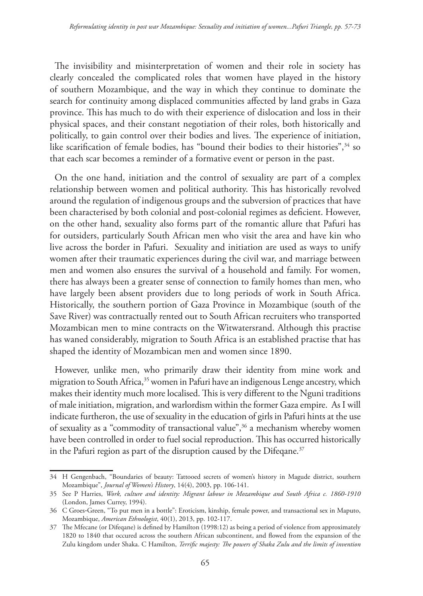The invisibility and misinterpretation of women and their role in society has clearly concealed the complicated roles that women have played in the history of southern Mozambique, and the way in which they continue to dominate the search for continuity among displaced communities affected by land grabs in Gaza province. This has much to do with their experience of dislocation and loss in their physical spaces, and their constant negotiation of their roles, both historically and politically, to gain control over their bodies and lives. The experience of initiation, like scarification of female bodies, has "bound their bodies to their histories",<sup>34</sup> so that each scar becomes a reminder of a formative event or person in the past.

On the one hand, initiation and the control of sexuality are part of a complex relationship between women and political authority. This has historically revolved around the regulation of indigenous groups and the subversion of practices that have been characterised by both colonial and post-colonial regimes as deficient. However, on the other hand, sexuality also forms part of the romantic allure that Pafuri has for outsiders, particularly South African men who visit the area and have kin who live across the border in Pafuri. Sexuality and initiation are used as ways to unify women after their traumatic experiences during the civil war, and marriage between men and women also ensures the survival of a household and family. For women, there has always been a greater sense of connection to family homes than men, who have largely been absent providers due to long periods of work in South Africa. Historically, the southern portion of Gaza Province in Mozambique (south of the Save River) was contractually rented out to South African recruiters who transported Mozambican men to mine contracts on the Witwatersrand. Although this practise has waned considerably, migration to South Africa is an established practise that has shaped the identity of Mozambican men and women since 1890.

However, unlike men, who primarily draw their identity from mine work and migration to South Africa,<sup>35</sup> women in Pafuri have an indigenous Lenge ancestry, which makes their identity much more localised. This is very different to the Nguni traditions of male initiation, migration, and warlordism within the former Gaza empire. As I will indicate furtheron, the use of sexuality in the education of girls in Pafuri hints at the use of sexuality as a "commodity of transactional value",<sup>36</sup> a mechanism whereby women have been controlled in order to fuel social reproduction. This has occurred historically in the Pafuri region as part of the disruption caused by the Difeqane.<sup>37</sup>

<sup>34</sup> H Gengenbach, "Boundaries of beauty: Tattooed secrets of women's history in Magude district, southern Mozambique", *Journal of Women's History*, 14(4), 2003, pp. 106-141.

<sup>35</sup> See P Harries, *Work, culture and identity: Migrant labour in Mozambique and South Africa c. 1860-1910* (London, James Currey, 1994).

<sup>36</sup> C Groes‐Green, "To put men in a bottle": Eroticism, kinship, female power, and transactional sex in Maputo, Mozambique, *American Ethnologist*, 40(1), 2013, pp. 102-117.

<sup>37</sup> The Mfecane (or Difeqane) is defined by Hamilton (1998:12) as being a period of violence from approximately 1820 to 1840 that occured across the southern African subcontinent, and flowed from the expansion of the Zulu kingdom under Shaka. C Hamilton, *Terrific majesty: The powers of Shaka Zulu and the limits of invention*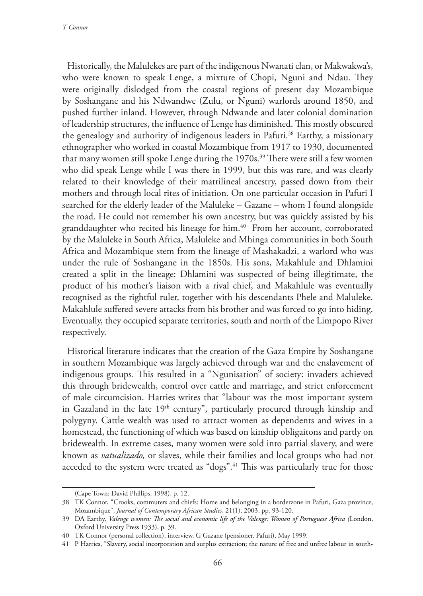*T Connor*

Historically, the Malulekes are part of the indigenous Nwanati clan, or Makwakwa's, who were known to speak Lenge, a mixture of Chopi, Nguni and Ndau. They were originally dislodged from the coastal regions of present day Mozambique by Soshangane and his Ndwandwe (Zulu, or Nguni) warlords around 1850, and pushed further inland. However, through Ndwande and later colonial domination of leadership structures, the influence of Lenge has diminished. This mostly obscured the genealogy and authority of indigenous leaders in Pafuri.38 Earthy, a missionary ethnographer who worked in coastal Mozambique from 1917 to 1930, documented that many women still spoke Lenge during the 1970s.<sup>39</sup> There were still a few women who did speak Lenge while I was there in 1999, but this was rare, and was clearly related to their knowledge of their matrilineal ancestry, passed down from their mothers and through local rites of initiation. On one particular occasion in Pafuri I searched for the elderly leader of the Maluleke – Gazane – whom I found alongside the road. He could not remember his own ancestry, but was quickly assisted by his granddaughter who recited his lineage for him.<sup>40</sup> From her account, corroborated by the Maluleke in South Africa, Maluleke and Mhinga communities in both South Africa and Mozambique stem from the lineage of Mashakadzi, a warlord who was under the rule of Soshangane in the 1850s. His sons, Makahlule and Dhlamini created a split in the lineage: Dhlamini was suspected of being illegitimate, the product of his mother's liaison with a rival chief, and Makahlule was eventually recognised as the rightful ruler, together with his descendants Phele and Maluleke. Makahlule suffered severe attacks from his brother and was forced to go into hiding. Eventually, they occupied separate territories, south and north of the Limpopo River respectively.

Historical literature indicates that the creation of the Gaza Empire by Soshangane in southern Mozambique was largely achieved through war and the enslavement of indigenous groups. This resulted in a "Ngunisation" of society: invaders achieved this through bridewealth, control over cattle and marriage, and strict enforcement of male circumcision. Harries writes that "labour was the most important system in Gazaland in the late 19<sup>th</sup> century", particularly procured through kinship and polygyny. Cattle wealth was used to attract women as dependents and wives in a homestead, the functioning of which was based on kinship obligaitons and partly on bridewealth. In extreme cases, many women were sold into partial slavery, and were known as *vatualizado,* or slaves, while their families and local groups who had not acceded to the system were treated as "dogs".<sup>41</sup> This was particularly true for those

<sup>(</sup>Cape Town: David Phillips, 1998), p. 12.

<sup>38</sup> TK Connor, "Crooks, commuters and chiefs: Home and belonging in a borderzone in Pafuri, Gaza province, Mozambique", *Journal of Contemporary African Studies*, 21(1), 2003, pp. 93-120.

<sup>39</sup> DA Earthy, *Valenge women: The social and economic life of the Valenge: Women of Portuguese Africa (*London, Oxford University Press 1933), p. 39.

<sup>40</sup> TK Connor (personal collection), interview, G Gazane (pensioner, Pafuri), May 1999.

<sup>41</sup> P Harries, "Slavery, social incorporation and surplus extraction; the nature of free and unfree labour in south-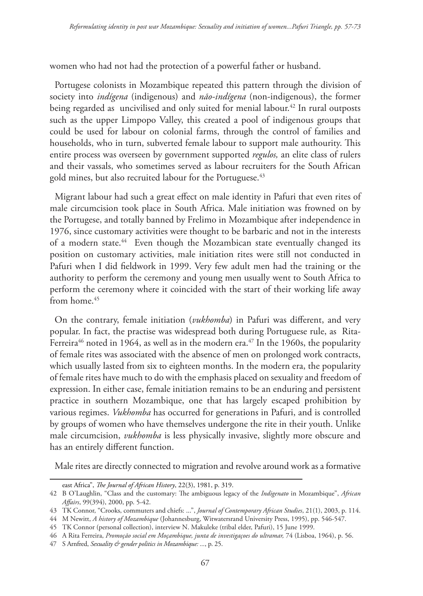women who had not had the protection of a powerful father or husband.

Portugese colonists in Mozambique repeated this pattern through the division of society into *indígena* (indigenous) and *não-indígena* (non-indigenous), the former being regarded as uncivilised and only suited for menial labour.<sup>42</sup> In rural outposts such as the upper Limpopo Valley, this created a pool of indigenous groups that could be used for labour on colonial farms, through the control of families and households, who in turn, subverted female labour to support male authourity. This entire process was overseen by government supported *regulos,* an elite class of rulers and their vassals, who sometimes served as labour recruiters for the South African gold mines, but also recruited labour for the Portuguese.<sup>43</sup>

Migrant labour had such a great effect on male identity in Pafuri that even rites of male circumcision took place in South Africa. Male initiation was frowned on by the Portugese, and totally banned by Frelimo in Mozambique after independence in 1976, since customary activities were thought to be barbaric and not in the interests of a modern state.44 Even though the Mozambican state eventually changed its position on customary activities, male initiation rites were still not conducted in Pafuri when I did fieldwork in 1999. Very few adult men had the training or the authority to perform the ceremony and young men usually went to South Africa to perform the ceremony where it coincided with the start of their working life away from home.<sup>45</sup>

On the contrary, female initiation (*vukhomba*) in Pafuri was different, and very popular. In fact, the practise was widespread both during Portuguese rule, as Rita-Ferreira<sup>46</sup> noted in 1964, as well as in the modern era.<sup>47</sup> In the 1960s, the popularity of female rites was associated with the absence of men on prolonged work contracts, which usually lasted from six to eighteen months. In the modern era, the popularity of female rites have much to do with the emphasis placed on sexuality and freedom of expression. In either case, female initiation remains to be an enduring and persistent practice in southern Mozambique, one that has largely escaped prohibition by various regimes. *Vukhomba* has occurred for generations in Pafuri, and is controlled by groups of women who have themselves undergone the rite in their youth. Unlike male circumcision, *vukhomba* is less physically invasive, slightly more obscure and has an entirely different function.

Male rites are directly connected to migration and revolve around work as a formative

east Africa", *The Journal of African History*, 22(3), 1981, p. 319.

<sup>42</sup> B O'Laughlin, "Class and the customary: The ambiguous legacy of the *Indigenato* in Mozambique", *African Affairs*, 99(394), 2000, pp. 5-42.

<sup>43</sup> TK Connor, "Crooks, commuters and chiefs: ...", *Journal of Contemporary African Studies*, 21(1), 2003, p. 114.

<sup>44</sup> M Newitt, *A history of Mozambique* (Johannesburg, Witwatersrand University Press, 1995), pp. 546-547.

<sup>45</sup> TK Connor (personal collection), interview N. Makuleke (tribal elder, Pafuri), 15 June 1999.

<sup>46</sup> A Rita Ferreira, *Promoção social em Moçambique, junta de investigaçoes do ultramar,* 74 (Lisboa, 1964), p. 56.

<sup>47</sup> S Arnfred, *Sexuality & gender politics in Mozambique: ...*, p. 25.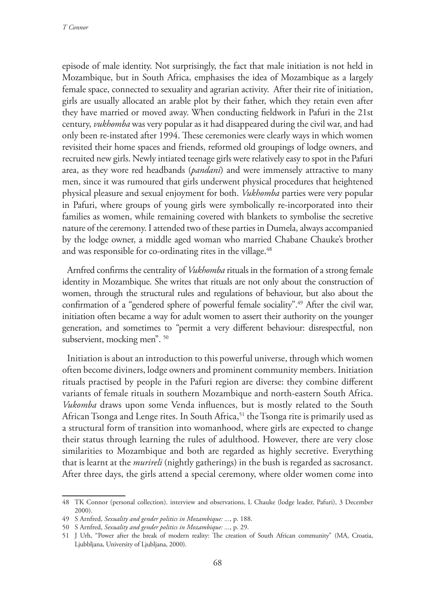episode of male identity. Not surprisingly, the fact that male initiation is not held in Mozambique, but in South Africa, emphasises the idea of Mozambique as a largely female space, connected to sexuality and agrarian activity. After their rite of initiation, girls are usually allocated an arable plot by their father, which they retain even after they have married or moved away. When conducting fieldwork in Pafuri in the 21st century, *vukhomba* was very popular as it had disappeared during the civil war, and had only been re-instated after 1994. These ceremonies were clearly ways in which women revisited their home spaces and friends, reformed old groupings of lodge owners, and recruited new girls. Newly intiated teenage girls were relatively easy to spot in the Pafuri area, as they wore red headbands (*pandani*) and were immensely attractive to many men, since it was rumoured that girls underwent physical procedures that heightened physical pleasure and sexual enjoyment for both. *Vukhomba* parties were very popular in Pafuri, where groups of young girls were symbolically re-incorporated into their families as women, while remaining covered with blankets to symbolise the secretive nature of the ceremony. I attended two of these parties in Dumela, always accompanied by the lodge owner, a middle aged woman who married Chabane Chauke's brother and was responsible for co-ordinating rites in the village.<sup>48</sup>

Arnfred confirms the centrality of *Vukhomba* rituals in the formation of a strong female identity in Mozambique. She writes that rituals are not only about the construction of women, through the structural rules and regulations of behaviour, but also about the confirmation of a "gendered sphere of powerful female sociality".<sup>49</sup> After the civil war, initiation often became a way for adult women to assert their authority on the younger generation, and sometimes to "permit a very different behaviour: disrespectful, non subservient, mocking men". 50

Initiation is about an introduction to this powerful universe, through which women often become diviners, lodge owners and prominent community members. Initiation rituals practised by people in the Pafuri region are diverse: they combine different variants of female rituals in southern Mozambique and north-eastern South Africa. *Vukomba* draws upon some Venda influences, but is mostly related to the South African Tsonga and Lenge rites. In South Africa,  $51$  the Tsonga rite is primarily used as a structural form of transition into womanhood, where girls are expected to change their status through learning the rules of adulthood. However, there are very close similarities to Mozambique and both are regarded as highly secretive. Everything that is learnt at the *murireli* (nightly gatherings) in the bush is regarded as sacrosanct. After three days, the girls attend a special ceremony, where older women come into

<sup>48</sup> TK Connor (personal collection). interview and observations, L Chauke (lodge leader, Pafuri), 3 December 2000).

<sup>49</sup> S Arnfred, *Sexuality and gender politics in Mozambique: ...*, p. 188.

<sup>50</sup> S Arnfred, *Sexuality and gender politics in Mozambique: ...*, p. 29.

<sup>51</sup> J Urh, "Power after the break of modern reality: The creation of South African community" (MA, Croatia, Ljubbljana, University of Ljubljana, 2000).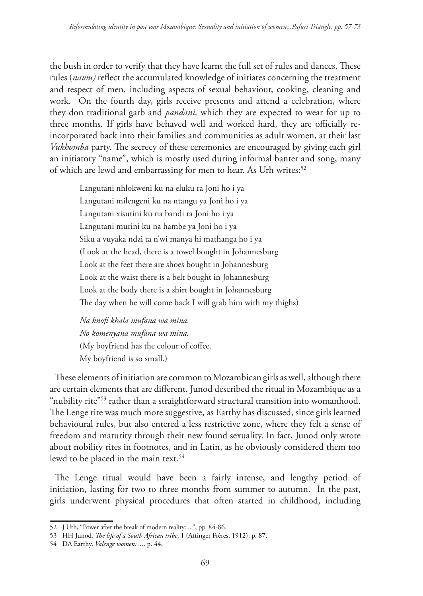the bush in order to verify that they have learnt the full set of rules and dances. These rules (*nawu)* reflect the accumulated knowledge of initiates concerning the treatment and respect of men, including aspects of sexual behaviour, cooking, cleaning and work. On the fourth day, girls receive presents and attend a celebration, where they don traditional garb and *pandani,* which they are expected to wear for up to three months. If girls have behaved well and worked hard, they are officially reincorporated back into their families and communities as adult women, at their last *Vukhomba* party. The secrecy of these ceremonies are encouraged by giving each girl an initiatory "name", which is mostly used during informal banter and song, many of which are lewd and embarrassing for men to hear. As Urh writes:<sup>52</sup>

Langutani nhlokweni ku na eluku ra Joni ho i ya Langutani milengeni ku na ntangu ya Joni ho i ya Langutani xisutini ku na bandi ra Joni ho i ya Langutani murini ku na hambe ya Joni ho i ya Siku a vuyaka ndzi ta n'wi manya hi mathanga ho i ya (Look at the head, there is a towel bought in Johannesburg Look at the feet there are shoes bought in Johannesburg Look at the waist there is a belt bought in Johannesburg Look at the body there is a shirt bought in Johannesburg The day when he will come back I will grab him with my thighs)

*Na knofi khala mufana wa mina. No komenyana mufana wa mina.* (My boyfriend has the colour of coffee. My boyfriend is so small.)

These elements of initiation are common to Mozambican girls as well, although there are certain elements that are different. Junod described the ritual in Mozambique as a "nubility rite"<sup>53</sup> rather than a straightforward structural transition into womanhood. The Lenge rite was much more suggestive, as Earthy has discussed, since girls learned behavioural rules, but also entered a less restrictive zone, where they felt a sense of freedom and maturity through their new found sexuality. In fact, Junod only wrote about nobility rites in footnotes, and in Latin, as he obviously considered them too lewd to be placed in the main text.<sup>54</sup>

The Lenge ritual would have been a fairly intense, and lengthy period of initiation, lasting for two to three months from summer to autumn. In the past, girls underwent physical procedures that often started in childhood, including

<sup>52</sup> J Urh, "Power after the break of modern reality: ...", pp. 84-86.

<sup>53</sup> HH Junod, *The life of a South African tribe*, 1 (Attinger Frères, 1912), p. 87.

<sup>54</sup> DA Earthy, *Valenge women: ...,* p. 44.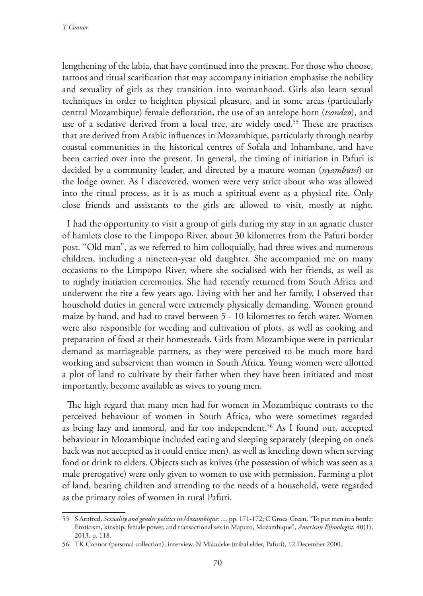lengthening of the labia, that have continued into the present. For those who choose, tattoos and ritual scarification that may accompany initiation emphasise the nobility and sexuality of girls as they transition into womanhood. Girls also learn sexual techniques in order to heighten physical pleasure, and in some areas (particularly central Mozambique) female defloration, the use of an antelope horn (*tsondzo*), and use of a sedative derived from a local tree, are widely used.55 These are practises that are derived from Arabic influences in Mozambique, particularly through nearby coastal communities in the historical centres of Sofala and Inhambane, and have been carried over into the present. In general, the timing of initiation in Pafuri is decided by a community leader, and directed by a mature woman (*nyambutsi*) or the lodge owner. As I discovered, women were very strict about who was allowed into the ritual process, as it is as much a spiritual event as a physical rite. Only close friends and assistants to the girls are allowed to visit, mostly at night.

I had the opportunity to visit a group of girls during my stay in an agnatic cluster of hamlets close to the Limpopo River, about 30 kilometres from the Pafuri border post. "Old man", as we referred to him colloquially, had three wives and numerous children, including a nineteen-year old daughter. She accompanied me on many occasions to the Limpopo River, where she socialised with her friends, as well as to nightly initiation ceremonies. She had recently returned from South Africa and underwent the rite a few years ago. Living with her and her family, I observed that household duties in general were extremely physically demanding. Women ground maize by hand, and had to travel between 5 - 10 kilometres to fetch water. Women were also responsible for weeding and cultivation of plots, as well as cooking and preparation of food at their homesteads. Girls from Mozambique were in particular demand as marriageable partners, as they were perceived to be much more hard working and subservient than women in South Africa. Young women were allotted a plot of land to cultivate by their father when they have been initiated and most importantly, become available as wives to young men.

The high regard that many men had for women in Mozambique contrasts to the perceived behaviour of women in South Africa, who were sometimes regarded as being lazy and immoral, and far too independent.<sup>56</sup> As I found out, accepted behaviour in Mozambique included eating and sleeping separately (sleeping on one's back was not accepted as it could entice men), as well as kneeling down when serving food or drink to elders. Objects such as knives (the possession of which was seen as a male prerogative) were only given to women to use with permission. Farming a plot of land, bearing children and attending to the needs of a household, were regarded as the primary roles of women in rural Pafuri.

<sup>55</sup> S Arnfred, *Sexuality and gender politics in Mozambique: ...*, pp. 171-172; C Groes‐Green, "To put men in a bottle: Eroticism, kinship, female power, and transactional sex in Maputo, Mozambique", *American Ethnologist*, 40(1), 2013, p. 118.

<sup>56</sup> TK Connor (personal collection), interview, N Makuleke (tribal elder, Pafuri), 12 December 2000.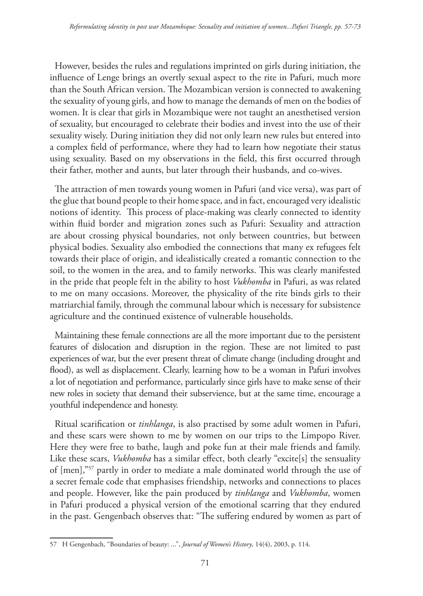However, besides the rules and regulations imprinted on girls during initiation, the influence of Lenge brings an overtly sexual aspect to the rite in Pafuri, much more than the South African version. The Mozambican version is connected to awakening the sexuality of young girls, and how to manage the demands of men on the bodies of women. It is clear that girls in Mozambique were not taught an anesthetised version of sexuality, but encouraged to celebrate their bodies and invest into the use of their sexuality wisely. During initiation they did not only learn new rules but entered into a complex field of performance, where they had to learn how negotiate their status using sexuality. Based on my observations in the field, this first occurred through their father, mother and aunts, but later through their husbands, and co-wives.

The attraction of men towards young women in Pafuri (and vice versa), was part of the glue that bound people to their home space, and in fact, encouraged very idealistic notions of identity. This process of place-making was clearly connected to identity within fluid border and migration zones such as Pafuri: Sexuality and attraction are about crossing physical boundaries, not only between countries, but between physical bodies. Sexuality also embodied the connections that many ex refugees felt towards their place of origin, and idealistically created a romantic connection to the soil, to the women in the area, and to family networks. This was clearly manifested in the pride that people felt in the ability to host *Vukhomba* in Pafuri, as was related to me on many occasions. Moreover, the physicality of the rite binds girls to their matriarchial family, through the communal labour which is necessary for subsistence agriculture and the continued existence of vulnerable households.

Maintaining these female connections are all the more important due to the persistent features of dislocation and disruption in the region. These are not limited to past experiences of war, but the ever present threat of climate change (including drought and flood), as well as displacement. Clearly, learning how to be a woman in Pafuri involves a lot of negotiation and performance, particularly since girls have to make sense of their new roles in society that demand their subservience, but at the same time, encourage a youthful independence and honesty.

Ritual scarification or *tinhlanga*, is also practised by some adult women in Pafuri, and these scars were shown to me by women on our trips to the Limpopo River. Here they were free to bathe, laugh and poke fun at their male friends and family. Like these scars, *Vukhomba* has a similar effect, both clearly "excite[s] the sensuality of [men],"57 partly in order to mediate a male dominated world through the use of a secret female code that emphasises friendship, networks and connections to places and people. However, like the pain produced by *tinhlanga* and *Vukhomba*, women in Pafuri produced a physical version of the emotional scarring that they endured in the past. Gengenbach observes that: "The suffering endured by women as part of

<sup>57</sup> H Gengenbach, "Boundaries of beauty: ...", *Journal of Women's History*, 14(4), 2003, p. 114.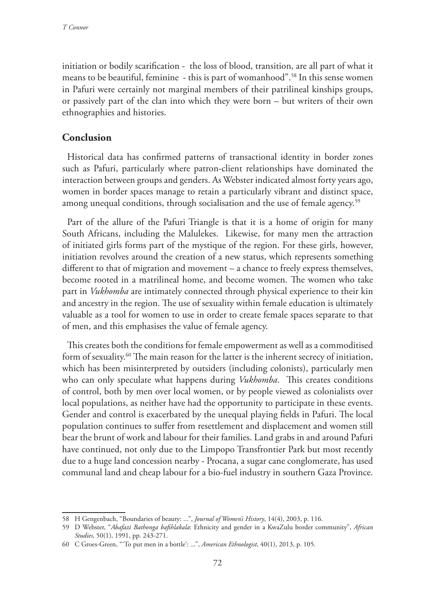initiation or bodily scarification - the loss of blood, transition, are all part of what it means to be beautiful, feminine - this is part of womanhood".58 In this sense women in Pafuri were certainly not marginal members of their patrilineal kinships groups, or passively part of the clan into which they were born – but writers of their own ethnographies and histories.

## **Conclusion**

Historical data has confirmed patterns of transactional identity in border zones such as Pafuri, particularly where patron-client relationships have dominated the interaction between groups and genders. As Webster indicated almost forty years ago, women in border spaces manage to retain a particularly vibrant and distinct space, among unequal conditions, through socialisation and the use of female agency.<sup>59</sup>

Part of the allure of the Pafuri Triangle is that it is a home of origin for many South Africans, including the Malulekes. Likewise, for many men the attraction of initiated girls forms part of the mystique of the region. For these girls, however, initiation revolves around the creation of a new status, which represents something different to that of migration and movement – a chance to freely express themselves, become rooted in a matrilineal home, and become women. The women who take part in *Vukhomba* are intimately connected through physical experience to their kin and ancestry in the region. The use of sexuality within female education is ultimately valuable as a tool for women to use in order to create female spaces separate to that of men, and this emphasises the value of female agency.

This creates both the conditions for female empowerment as well as a commoditised form of sexuality.60 The main reason for the latter is the inherent secrecy of initiation, which has been misinterpreted by outsiders (including colonists), particularly men who can only speculate what happens during *Vukhomba*. This creates conditions of control, both by men over local women, or by people viewed as colonialists over local populations, as neither have had the opportunity to participate in these events. Gender and control is exacerbated by the unequal playing fields in Pafuri. The local population continues to suffer from resettlement and displacement and women still bear the brunt of work and labour for their families. Land grabs in and around Pafuri have continued, not only due to the Limpopo Transfrontier Park but most recently due to a huge land concession nearby - Procana, a sugar cane conglomerate, has used communal land and cheap labour for a bio-fuel industry in southern Gaza Province.

<sup>58</sup> H Gengenbach, "Boundaries of beauty: ...", *Journal of Women's History*, 14(4), 2003, p. 116.

<sup>59</sup> D Webster, "*Abafazi Bathonga bafihlakala*: Ethnicity and gender in a KwaZulu border community", *African Studies*, 50(1), 1991, pp. 243-271.

<sup>60</sup> C Groes‐Green, "'To put men in a bottle': ...", *American Ethnologist*, 40(1), 2013, p. 105.